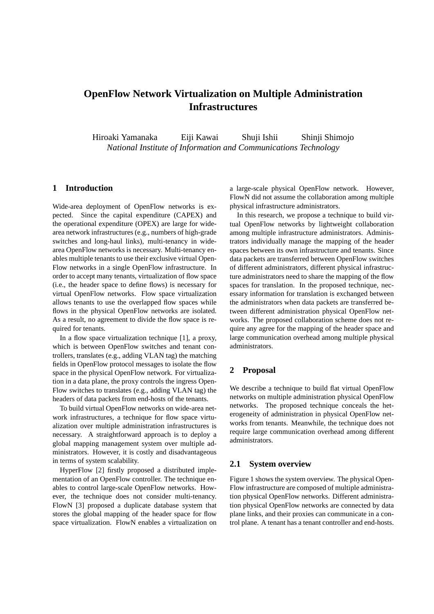# **OpenFlow Network Virtualization on Multiple Administration Infrastructures**

Hiroaki Yamanaka Eiji Kawai Shuji Ishii Shinji Shimojo *National Institute of Information and Communications Technology*

## **1 Introduction**

Wide-area deployment of OpenFlow networks is expected. Since the capital expenditure (CAPEX) and the operational expenditure (OPEX) are large for widearea network infrastructures (e.g., numbers of high-grade switches and long-haul links), multi-tenancy in widearea OpenFlow networks is necessary. Multi-tenancy enables multiple tenants to use their exclusive virtual Open-Flow networks in a single OpenFlow infrastructure. In order to accept many tenants, virtualization of flow space (i.e., the header space to define flows) is necessary for virtual OpenFlow networks. Flow space virtualization allows tenants to use the overlapped flow spaces while flows in the physical OpenFlow networks are isolated. As a result, no agreement to divide the flow space is required for tenants.

In a flow space virtualization technique [1], a proxy, which is between OpenFlow switches and tenant controllers, translates (e.g., adding VLAN tag) the matching fields in OpenFlow protocol messages to isolate the flow space in the physical OpenFlow network. For virtualization in a data plane, the proxy controls the ingress Open-Flow switches to translates (e.g., adding VLAN tag) the headers of data packets from end-hosts of the tenants.

To build virtual OpenFlow networks on wide-area network infrastructures, a technique for flow space virtualization over multiple administration infrastructures is necessary. A straightforward approach is to deploy a global mapping management system over multiple administrators. However, it is costly and disadvantageous in terms of system scalability.

HyperFlow [2] firstly proposed a distributed implementation of an OpenFlow controller. The technique enables to control large-scale OpenFlow networks. However, the technique does not consider multi-tenancy. FlowN [3] proposed a duplicate database system that stores the global mapping of the header space for flow space virtualization. FlowN enables a virtualization on

a large-scale physical OpenFlow network. However, FlowN did not assume the collaboration among multiple physical infrastructure administrators.

In this research, we propose a technique to build virtual OpenFlow networks by lightweight collaboration among multiple infrastructure administrators. Administrators individually manage the mapping of the header spaces between its own infrastructure and tenants. Since data packets are transferred between OpenFlow switches of different administrators, different physical infrastructure administrators need to share the mapping of the flow spaces for translation. In the proposed technique, necessary information for translation is exchanged between the administrators when data packets are transferred between different administration physical OpenFlow networks. The proposed collaboration scheme does not require any agree for the mapping of the header space and large communication overhead among multiple physical administrators.

## **2 Proposal**

We describe a technique to build flat virtual OpenFlow networks on multiple administration physical OpenFlow networks. The proposed technique conceals the heterogeneity of administration in physical OpenFlow networks from tenants. Meanwhile, the technique does not require large communication overhead among different administrators.

#### **2.1 System overview**

Figure 1 shows the system overview. The physical Open-Flow infrastructure are composed of multiple administration physical OpenFlow networks. Different administration physical OpenFlow networks are connected by data plane links, and their proxies can communicate in a control plane. A tenant has a tenant controller and end-hosts.